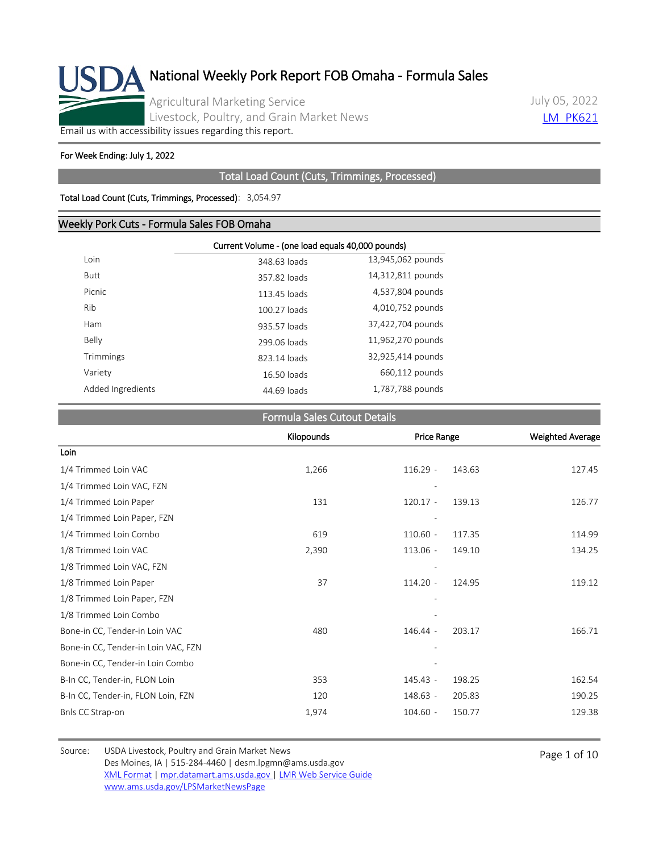

July 05, 2022 **LM PK621** 

[Email us with accessibility issues regarding this report.](mailto:mpr.lpgmn@ams.usda.gov?subject=508%20Issue)

#### For Week Ending: July 1, 2022

#### Total Load Count (Cuts, Trimmings, Processed)

#### Total Load Count (Cuts, Trimmings, Processed): 3,054.97

#### Weekly Pork Cuts - Formula Sales FOB Omaha

|                   | Current Volume - (one load equals 40,000 pounds) |                   |  |  |  |  |
|-------------------|--------------------------------------------------|-------------------|--|--|--|--|
| Loin              | 348.63 loads                                     | 13,945,062 pounds |  |  |  |  |
| <b>Butt</b>       | 357.82 loads                                     | 14,312,811 pounds |  |  |  |  |
| Picnic            | 113.45 loads                                     | 4,537,804 pounds  |  |  |  |  |
| Rib               | 100.27 loads                                     | 4,010,752 pounds  |  |  |  |  |
| Ham               | 935.57 loads                                     | 37,422,704 pounds |  |  |  |  |
| Belly             | 299.06 loads                                     | 11,962,270 pounds |  |  |  |  |
| Trimmings         | 823.14 loads                                     | 32,925,414 pounds |  |  |  |  |
| Variety           | 16.50 loads                                      | 660,112 pounds    |  |  |  |  |
| Added Ingredients | 44.69 loads                                      | 1,787,788 pounds  |  |  |  |  |

#### Formula Sales Cutout Details

|                                     | Kilopounds |            | <b>Price Range</b> |        |
|-------------------------------------|------------|------------|--------------------|--------|
| Loin                                |            |            |                    |        |
| 1/4 Trimmed Loin VAC                | 1,266      | $116.29 -$ | 143.63             | 127.45 |
| 1/4 Trimmed Loin VAC, FZN           |            |            |                    |        |
| 1/4 Trimmed Loin Paper              | 131        | $120.17 -$ | 139.13             | 126.77 |
| 1/4 Trimmed Loin Paper, FZN         |            |            |                    |        |
| 1/4 Trimmed Loin Combo              | 619        | $110.60 -$ | 117.35             | 114.99 |
| 1/8 Trimmed Loin VAC                | 2,390      | $113.06 -$ | 149.10             | 134.25 |
| 1/8 Trimmed Loin VAC, FZN           |            |            |                    |        |
| 1/8 Trimmed Loin Paper              | 37         | $114.20 -$ | 124.95             | 119.12 |
| 1/8 Trimmed Loin Paper, FZN         |            |            |                    |        |
| 1/8 Trimmed Loin Combo              |            |            |                    |        |
| Bone-in CC, Tender-in Loin VAC      | 480        | 146.44 -   | 203.17             | 166.71 |
| Bone-in CC, Tender-in Loin VAC, FZN |            |            |                    |        |
| Bone-in CC, Tender-in Loin Combo    |            |            |                    |        |
| B-In CC, Tender-in, FLON Loin       | 353        | $145.43 -$ | 198.25             | 162.54 |
| B-In CC, Tender-in, FLON Loin, FZN  | 120        | 148.63 -   | 205.83             | 190.25 |
| Bnls CC Strap-on                    | 1,974      | $104.60 -$ | 150.77             | 129.38 |

Source: USDA Livestock, Poultry and Grain Market News<br>
Page 1 of 10 Des Moines, IA | 515-284-4460 | desm.lpgmn@ams.usda.gov [XML Format](https://mpr.datamart.ams.usda.gov/ws/report/v1/pork/LM_PK621?filter=%7B%22filters%22:%5B%7B%22fieldName%22:%22Report%20date%22,%22operatorType%22:%22EQUAL%22,%22values%22:%5B%227/5/2022%22%5D%7D%5D%7D) | [mpr.datamart.ams.usda.gov](https://mpr.datamart.ams.usda.gov/) | [LMR Web Service Guide](https://www.marketnews.usda.gov/mnp/assets/ls/USDA-LMR-WebService-Client-User-Guide-v1_prod.pdf) [www.ams.usda.gov/LPSMarketNewsPage](https://www.ams.usda.gov/LPSMarketNewsPage)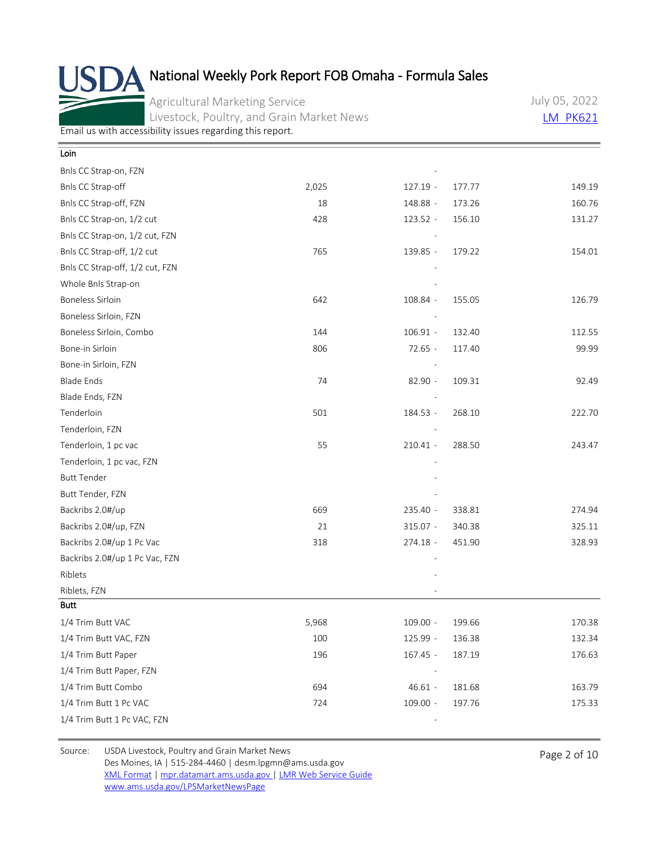Agricultural Marketing Service Livestock, Poultry, and Grain Market News July 05, 2022 **LM PK621** 

[Email us with accessibility issues regarding this report.](mailto:mpr.lpgmn@ams.usda.gov?subject=508%20Issue)

| Loin                            |       |            |        |        |
|---------------------------------|-------|------------|--------|--------|
| Bnls CC Strap-on, FZN           |       |            |        |        |
| Bnls CC Strap-off               | 2,025 | 127.19 -   | 177.77 | 149.19 |
| Bnls CC Strap-off, FZN          | 18    | 148.88 -   | 173.26 | 160.76 |
| Bnls CC Strap-on, 1/2 cut       | 428   | 123.52 -   | 156.10 | 131.27 |
| Bnls CC Strap-on, 1/2 cut, FZN  |       |            |        |        |
| Bnls CC Strap-off, 1/2 cut      | 765   | 139.85 -   | 179.22 | 154.01 |
| Bnls CC Strap-off, 1/2 cut, FZN |       |            |        |        |
| Whole Bnls Strap-on             |       |            |        |        |
| <b>Boneless Sirloin</b>         | 642   | 108.84 -   | 155.05 | 126.79 |
| Boneless Sirloin, FZN           |       |            |        |        |
| Boneless Sirloin, Combo         | 144   | $106.91 -$ | 132.40 | 112.55 |
| Bone-in Sirloin                 | 806   | $72.65 -$  | 117.40 | 99.99  |
| Bone-in Sirloin, FZN            |       |            |        |        |
| <b>Blade Ends</b>               | 74    | 82.90 -    | 109.31 | 92.49  |
| Blade Ends, FZN                 |       |            |        |        |
| Tenderloin                      | 501   | 184.53 -   | 268.10 | 222.70 |
| Tenderloin, FZN                 |       |            |        |        |
| Tenderloin, 1 pc vac            | 55    | $210.41 -$ | 288.50 | 243.47 |
| Tenderloin, 1 pc vac, FZN       |       |            |        |        |
| <b>Butt Tender</b>              |       |            |        |        |
| Butt Tender, FZN                |       |            |        |        |
| Backribs 2.0#/up                | 669   | 235.40 -   | 338.81 | 274.94 |
| Backribs 2.0#/up, FZN           | 21    | $315.07 -$ | 340.38 | 325.11 |
| Backribs 2.0#/up 1 Pc Vac       | 318   | 274.18 -   | 451.90 | 328.93 |
| Backribs 2.0#/up 1 Pc Vac, FZN  |       |            |        |        |
| Riblets                         |       |            |        |        |
| Riblets, FZN                    |       |            |        |        |
| <b>Butt</b>                     |       |            |        |        |
| 1/4 Trim Butt VAC               | 5,968 | $109.00 -$ | 199.66 | 170.38 |
| 1/4 Trim Butt VAC, FZN          | 100   | 125.99 -   | 136.38 | 132.34 |
| 1/4 Trim Butt Paper             | 196   | 167.45 -   | 187.19 | 176.63 |
| 1/4 Trim Butt Paper, FZN        |       |            |        |        |
| 1/4 Trim Butt Combo             | 694   | $46.61 -$  | 181.68 | 163.79 |
| 1/4 Trim Butt 1 Pc VAC          | 724   | $109.00 -$ | 197.76 | 175.33 |
| 1/4 Trim Butt 1 Pc VAC, FZN     |       |            |        |        |
|                                 |       |            |        |        |

Source: USDA Livestock, Poultry and Grain Market News<br>
Page 2 of 10 Des Moines, IA | 515-284-4460 | desm.lpgmn@ams.usda.gov [XML Format](https://mpr.datamart.ams.usda.gov/ws/report/v1/pork/LM_PK621?filter=%7B%22filters%22:%5B%7B%22fieldName%22:%22Report%20date%22,%22operatorType%22:%22EQUAL%22,%22values%22:%5B%227/5/2022%22%5D%7D%5D%7D) | [mpr.datamart.ams.usda.gov](https://mpr.datamart.ams.usda.gov/) | [LMR Web Service Guide](https://www.marketnews.usda.gov/mnp/assets/ls/USDA-LMR-WebService-Client-User-Guide-v1_prod.pdf) [www.ams.usda.gov/LPSMarketNewsPage](https://www.ams.usda.gov/LPSMarketNewsPage)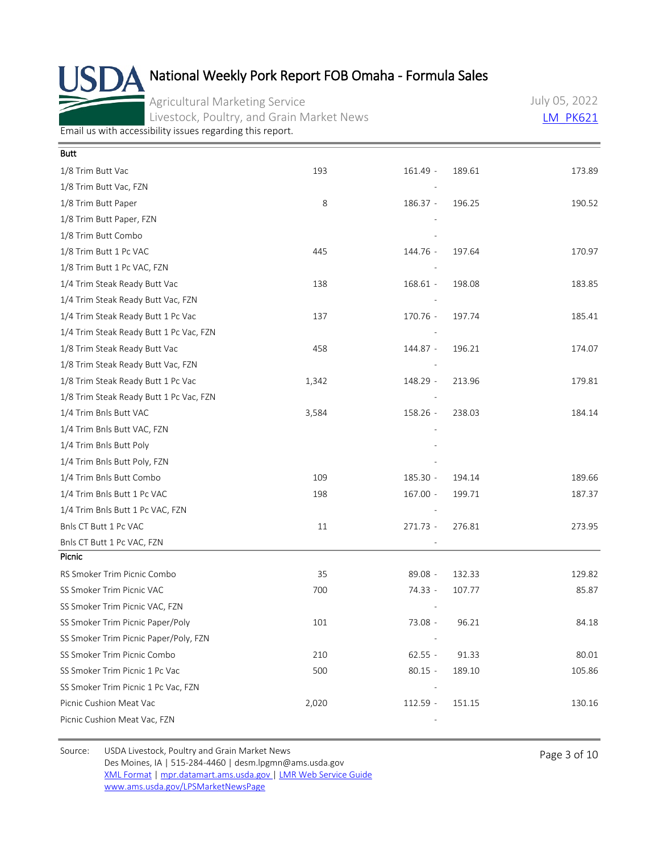Agricultural Marketing Service Livestock, Poultry, and Grain Market News July 05, 2022 **LM PK621** 

[Email us with accessibility issues regarding this report.](mailto:mpr.lpgmn@ams.usda.gov?subject=508%20Issue)

| <b>Butt</b>                             |       |                          |        |        |
|-----------------------------------------|-------|--------------------------|--------|--------|
| 1/8 Trim Butt Vac                       | 193   | $161.49 -$               | 189.61 | 173.89 |
| 1/8 Trim Butt Vac, FZN                  |       |                          |        |        |
| 1/8 Trim Butt Paper                     | 8     | $186.37 -$               | 196.25 | 190.52 |
| 1/8 Trim Butt Paper, FZN                |       |                          |        |        |
| 1/8 Trim Butt Combo                     |       |                          |        |        |
| 1/8 Trim Butt 1 Pc VAC                  | 445   | 144.76 -                 | 197.64 | 170.97 |
| 1/8 Trim Butt 1 Pc VAC, FZN             |       |                          |        |        |
| 1/4 Trim Steak Ready Butt Vac           | 138   | 168.61 -                 | 198.08 | 183.85 |
| 1/4 Trim Steak Ready Butt Vac, FZN      |       |                          |        |        |
| 1/4 Trim Steak Ready Butt 1 Pc Vac      | 137   | 170.76 -                 | 197.74 | 185.41 |
| 1/4 Trim Steak Ready Butt 1 Pc Vac, FZN |       |                          |        |        |
| 1/8 Trim Steak Ready Butt Vac           | 458   | 144.87 -                 | 196.21 | 174.07 |
| 1/8 Trim Steak Ready Butt Vac, FZN      |       |                          |        |        |
| 1/8 Trim Steak Ready Butt 1 Pc Vac      | 1,342 | 148.29 -                 | 213.96 | 179.81 |
| 1/8 Trim Steak Ready Butt 1 Pc Vac, FZN |       |                          |        |        |
| 1/4 Trim Bnls Butt VAC                  | 3,584 | 158.26 -                 | 238.03 | 184.14 |
| 1/4 Trim Bnls Butt VAC, FZN             |       |                          |        |        |
| 1/4 Trim Bnls Butt Poly                 |       |                          |        |        |
| 1/4 Trim Bnls Butt Poly, FZN            |       |                          |        |        |
| 1/4 Trim Bnls Butt Combo                | 109   | 185.30 -                 | 194.14 | 189.66 |
| 1/4 Trim Bnls Butt 1 Pc VAC             | 198   | $167.00 -$               | 199.71 | 187.37 |
| 1/4 Trim Bnls Butt 1 Pc VAC, FZN        |       |                          |        |        |
| Bnls CT Butt 1 Pc VAC                   | 11    | 271.73 -                 | 276.81 | 273.95 |
| Bnls CT Butt 1 Pc VAC, FZN              |       |                          |        |        |
| Picnic                                  |       |                          |        |        |
| RS Smoker Trim Picnic Combo             | 35    | $89.08 -$                | 132.33 | 129.82 |
| SS Smoker Trim Picnic VAC               | 700   | 74.33 -                  | 107.77 | 85.87  |
| SS Smoker Trim Picnic VAC, FZN          |       |                          |        |        |
| SS Smoker Trim Picnic Paper/Poly        | 101   | 73.08 -                  | 96.21  | 84.18  |
| SS Smoker Trim Picnic Paper/Poly, FZN   |       |                          |        |        |
| SS Smoker Trim Picnic Combo             | 210   | $62.55 -$                | 91.33  | 80.01  |
| SS Smoker Trim Picnic 1 Pc Vac          | 500   | $80.15 -$                | 189.10 | 105.86 |
| SS Smoker Trim Picnic 1 Pc Vac, FZN     |       | $\overline{\phantom{a}}$ |        |        |
| Picnic Cushion Meat Vac                 | 2,020 | $112.59 -$               | 151.15 | 130.16 |
| Picnic Cushion Meat Vac, FZN            |       |                          |        |        |

Source: USDA Livestock, Poultry and Grain Market News<br>
Page 3 of 10 Des Moines, IA | 515-284-4460 | desm.lpgmn@ams.usda.gov [XML Format](https://mpr.datamart.ams.usda.gov/ws/report/v1/pork/LM_PK621?filter=%7B%22filters%22:%5B%7B%22fieldName%22:%22Report%20date%22,%22operatorType%22:%22EQUAL%22,%22values%22:%5B%227/5/2022%22%5D%7D%5D%7D) | [mpr.datamart.ams.usda.gov](https://mpr.datamart.ams.usda.gov/) | [LMR Web Service Guide](https://www.marketnews.usda.gov/mnp/assets/ls/USDA-LMR-WebService-Client-User-Guide-v1_prod.pdf) [www.ams.usda.gov/LPSMarketNewsPage](https://www.ams.usda.gov/LPSMarketNewsPage)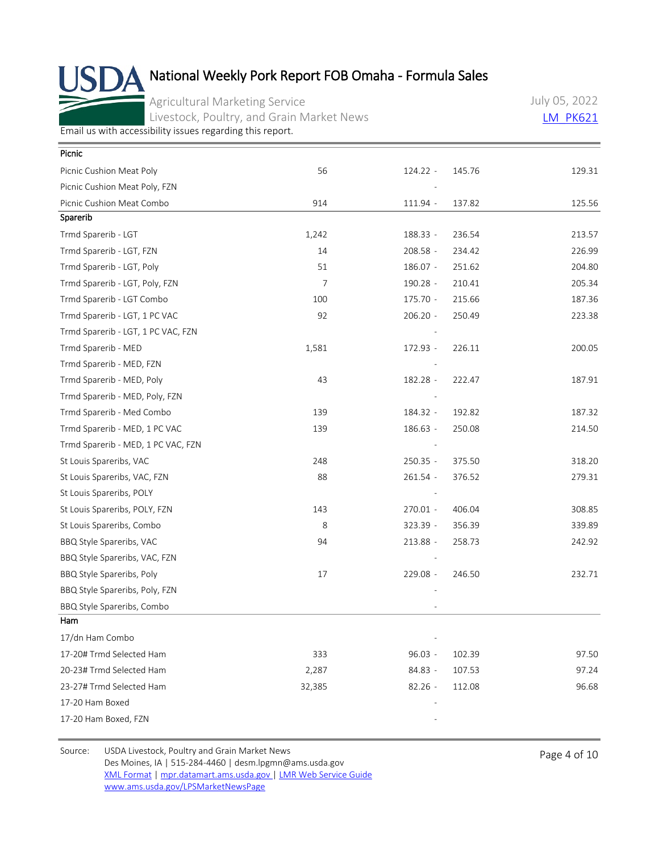Agricultural Marketing Service Livestock, Poultry, and Grain Market News July 05, 2022 [LM\\_PK621](https://mpr.datamart.ams.usda.gov/ws/report/v1/pork/LM_PK621?filter=%7B%22filters%22:%5B%7B%22fieldName%22:%22Report%20date%22,%22operatorType%22:%22EQUAL%22,%22values%22:%5B%227/5/2022%22%5D%7D%5D%7D)

[Email us with accessibility issues regarding this report.](mailto:mpr.lpgmn@ams.usda.gov?subject=508%20Issue)

| Picnic                             |        |            |        |        |
|------------------------------------|--------|------------|--------|--------|
| Picnic Cushion Meat Poly           | 56     | 124.22 -   | 145.76 | 129.31 |
| Picnic Cushion Meat Poly, FZN      |        |            |        |        |
| Picnic Cushion Meat Combo          | 914    | 111.94 -   | 137.82 | 125.56 |
| Sparerib                           |        |            |        |        |
| Trmd Sparerib - LGT                | 1,242  | 188.33 -   | 236.54 | 213.57 |
| Trmd Sparerib - LGT, FZN           | 14     | 208.58 -   | 234.42 | 226.99 |
| Trmd Sparerib - LGT, Poly          | 51     | 186.07 -   | 251.62 | 204.80 |
| Trmd Sparerib - LGT, Poly, FZN     | 7      | 190.28 -   | 210.41 | 205.34 |
| Trmd Sparerib - LGT Combo          | 100    | 175.70 -   | 215.66 | 187.36 |
| Trmd Sparerib - LGT, 1 PC VAC      | 92     | $206.20 -$ | 250.49 | 223.38 |
| Trmd Sparerib - LGT, 1 PC VAC, FZN |        |            |        |        |
| Trmd Sparerib - MED                | 1,581  | 172.93 -   | 226.11 | 200.05 |
| Trmd Sparerib - MED, FZN           |        |            |        |        |
| Trmd Sparerib - MED, Poly          | 43     | 182.28 -   | 222.47 | 187.91 |
| Trmd Sparerib - MED, Poly, FZN     |        |            |        |        |
| Trmd Sparerib - Med Combo          | 139    | 184.32 -   | 192.82 | 187.32 |
| Trmd Sparerib - MED, 1 PC VAC      | 139    | 186.63 -   | 250.08 | 214.50 |
| Trmd Sparerib - MED, 1 PC VAC, FZN |        |            |        |        |
| St Louis Spareribs, VAC            | 248    | 250.35 -   | 375.50 | 318.20 |
| St Louis Spareribs, VAC, FZN       | 88     | $261.54 -$ | 376.52 | 279.31 |
| St Louis Spareribs, POLY           |        |            |        |        |
| St Louis Spareribs, POLY, FZN      | 143    | 270.01 -   | 406.04 | 308.85 |
| St Louis Spareribs, Combo          | 8      | 323.39 -   | 356.39 | 339.89 |
| BBQ Style Spareribs, VAC           | 94     | 213.88 -   | 258.73 | 242.92 |
| BBQ Style Spareribs, VAC, FZN      |        |            |        |        |
| BBQ Style Spareribs, Poly          | 17     | 229.08 -   | 246.50 | 232.71 |
| BBQ Style Spareribs, Poly, FZN     |        |            |        |        |
| BBQ Style Spareribs, Combo         |        |            |        |        |
| Ham                                |        |            |        |        |
| 17/dn Ham Combo                    |        |            |        |        |
| 17-20# Trmd Selected Ham           | 333    | $96.03 -$  | 102.39 | 97.50  |
| 20-23# Trmd Selected Ham           | 2,287  | 84.83 -    | 107.53 | 97.24  |
| 23-27# Trmd Selected Ham           | 32,385 | $82.26 -$  | 112.08 | 96.68  |
| 17-20 Ham Boxed                    |        |            |        |        |
| 17-20 Ham Boxed, FZN               |        |            |        |        |
|                                    |        |            |        |        |

Source: USDA Livestock, Poultry and Grain Market News<br>
Page 4 of 10 Des Moines, IA | 515-284-4460 | desm.lpgmn@ams.usda.gov [XML Format](https://mpr.datamart.ams.usda.gov/ws/report/v1/pork/LM_PK621?filter=%7B%22filters%22:%5B%7B%22fieldName%22:%22Report%20date%22,%22operatorType%22:%22EQUAL%22,%22values%22:%5B%227/5/2022%22%5D%7D%5D%7D) | [mpr.datamart.ams.usda.gov](https://mpr.datamart.ams.usda.gov/) | [LMR Web Service Guide](https://www.marketnews.usda.gov/mnp/assets/ls/USDA-LMR-WebService-Client-User-Guide-v1_prod.pdf) [www.ams.usda.gov/LPSMarketNewsPage](https://www.ams.usda.gov/LPSMarketNewsPage)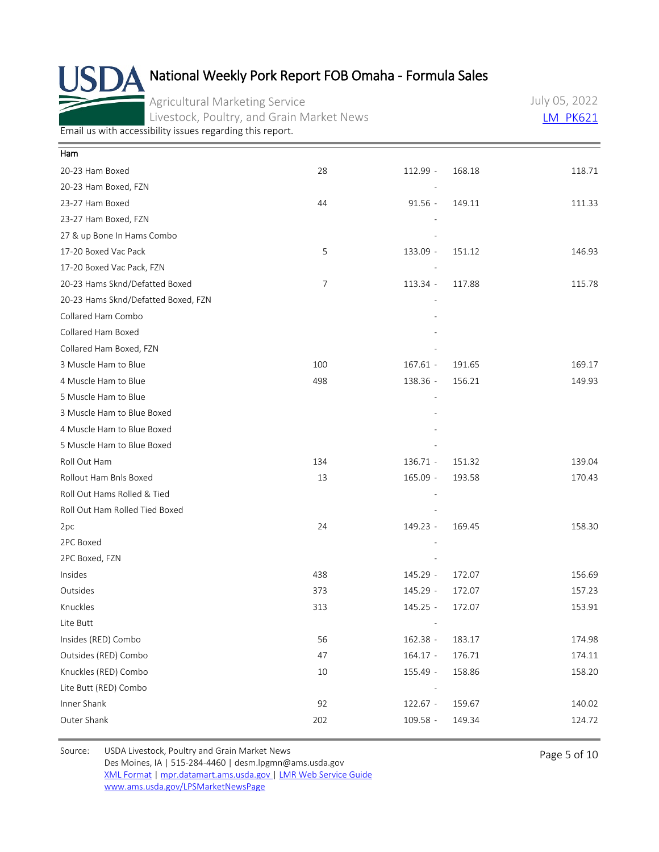Agricultural Marketing Service Livestock, Poultry, and Grain Market News July 05, 2022 **LM PK621** 

[Email us with accessibility issues regarding this report.](mailto:mpr.lpgmn@ams.usda.gov?subject=508%20Issue)

| Ham                                 |                |            |        |        |
|-------------------------------------|----------------|------------|--------|--------|
| 20-23 Ham Boxed                     | 28             | 112.99 -   | 168.18 | 118.71 |
| 20-23 Ham Boxed, FZN                |                |            |        |        |
| 23-27 Ham Boxed                     | 44             | $91.56 -$  | 149.11 | 111.33 |
| 23-27 Ham Boxed, FZN                |                |            |        |        |
| 27 & up Bone In Hams Combo          |                |            |        |        |
| 17-20 Boxed Vac Pack                | 5              | 133.09 -   | 151.12 | 146.93 |
| 17-20 Boxed Vac Pack, FZN           |                |            |        |        |
| 20-23 Hams Sknd/Defatted Boxed      | $\overline{7}$ | 113.34 -   | 117.88 | 115.78 |
| 20-23 Hams Sknd/Defatted Boxed, FZN |                |            |        |        |
| Collared Ham Combo                  |                |            |        |        |
| Collared Ham Boxed                  |                |            |        |        |
| Collared Ham Boxed, FZN             |                |            |        |        |
| 3 Muscle Ham to Blue                | 100            | $167.61 -$ | 191.65 | 169.17 |
| 4 Muscle Ham to Blue                | 498            | 138.36 -   | 156.21 | 149.93 |
| 5 Muscle Ham to Blue                |                |            |        |        |
| 3 Muscle Ham to Blue Boxed          |                |            |        |        |
| 4 Muscle Ham to Blue Boxed          |                |            |        |        |
| 5 Muscle Ham to Blue Boxed          |                |            |        |        |
| Roll Out Ham                        | 134            | 136.71 -   | 151.32 | 139.04 |
| Rollout Ham Bnls Boxed              | 13             | $165.09 -$ | 193.58 | 170.43 |
| Roll Out Hams Rolled & Tied         |                |            |        |        |
| Roll Out Ham Rolled Tied Boxed      |                |            |        |        |
| 2pc                                 | 24             | 149.23 -   | 169.45 | 158.30 |
| 2PC Boxed                           |                |            |        |        |
| 2PC Boxed, FZN                      |                |            |        |        |
| Insides                             | 438            | 145.29 -   | 172.07 | 156.69 |
| Outsides                            | 373            | $145.29 -$ | 172.07 | 157.23 |
| Knuckles                            | 313            | 145.25 -   | 172.07 | 153.91 |
| Lite Butt                           |                |            |        |        |
| Insides (RED) Combo                 | 56             | 162.38 -   | 183.17 | 174.98 |
| Outsides (RED) Combo                | 47             | $164.17 -$ | 176.71 | 174.11 |
| Knuckles (RED) Combo                | $10\,$         | 155.49 -   | 158.86 | 158.20 |
| Lite Butt (RED) Combo               |                |            |        |        |
| Inner Shank                         | 92             | $122.67 -$ | 159.67 | 140.02 |
| Outer Shank                         | 202            | 109.58 -   | 149.34 | 124.72 |
|                                     |                |            |        |        |

Source: USDA Livestock, Poultry and Grain Market News<br>
Page 5 of 10 Des Moines, IA | 515-284-4460 | desm.lpgmn@ams.usda.gov [XML Format](https://mpr.datamart.ams.usda.gov/ws/report/v1/pork/LM_PK621?filter=%7B%22filters%22:%5B%7B%22fieldName%22:%22Report%20date%22,%22operatorType%22:%22EQUAL%22,%22values%22:%5B%227/5/2022%22%5D%7D%5D%7D) | [mpr.datamart.ams.usda.gov](https://mpr.datamart.ams.usda.gov/) | [LMR Web Service Guide](https://www.marketnews.usda.gov/mnp/assets/ls/USDA-LMR-WebService-Client-User-Guide-v1_prod.pdf) [www.ams.usda.gov/LPSMarketNewsPage](https://www.ams.usda.gov/LPSMarketNewsPage)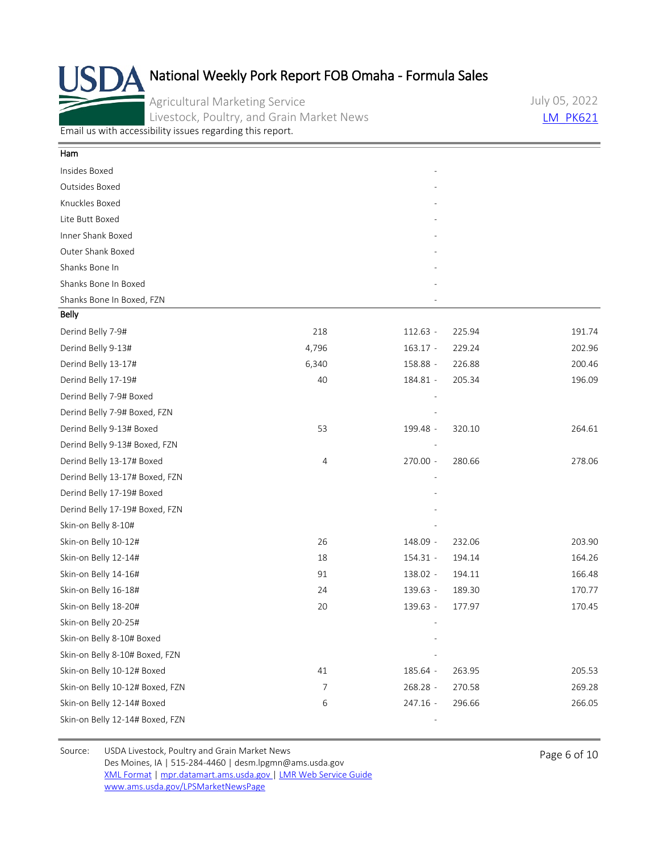Agricultural Marketing Service Livestock, Poultry, and Grain Market News July 05, 2022 **LM PK621** 

[Email us with accessibility issues regarding this report.](mailto:mpr.lpgmn@ams.usda.gov?subject=508%20Issue)

| Ham                             |       |            |        |        |
|---------------------------------|-------|------------|--------|--------|
| Insides Boxed                   |       |            |        |        |
| Outsides Boxed                  |       |            |        |        |
| Knuckles Boxed                  |       |            |        |        |
| Lite Butt Boxed                 |       |            |        |        |
| Inner Shank Boxed               |       |            |        |        |
| Outer Shank Boxed               |       |            |        |        |
| Shanks Bone In                  |       |            |        |        |
| Shanks Bone In Boxed            |       |            |        |        |
| Shanks Bone In Boxed, FZN       |       |            |        |        |
| Belly                           |       |            |        |        |
| Derind Belly 7-9#               | 218   | $112.63 -$ | 225.94 | 191.74 |
| Derind Belly 9-13#              | 4,796 | $163.17 -$ | 229.24 | 202.96 |
| Derind Belly 13-17#             | 6,340 | 158.88 -   | 226.88 | 200.46 |
| Derind Belly 17-19#             | 40    | 184.81 -   | 205.34 | 196.09 |
| Derind Belly 7-9# Boxed         |       |            |        |        |
| Derind Belly 7-9# Boxed, FZN    |       |            |        |        |
| Derind Belly 9-13# Boxed        | 53    | 199.48 -   | 320.10 | 264.61 |
| Derind Belly 9-13# Boxed, FZN   |       |            |        |        |
| Derind Belly 13-17# Boxed       | 4     | 270.00 -   | 280.66 | 278.06 |
| Derind Belly 13-17# Boxed, FZN  |       |            |        |        |
| Derind Belly 17-19# Boxed       |       |            |        |        |
| Derind Belly 17-19# Boxed, FZN  |       |            |        |        |
| Skin-on Belly 8-10#             |       |            |        |        |
| Skin-on Belly 10-12#            | 26    | 148.09 -   | 232.06 | 203.90 |
| Skin-on Belly 12-14#            | 18    | 154.31 -   | 194.14 | 164.26 |
| Skin-on Belly 14-16#            | 91    | 138.02 -   | 194.11 | 166.48 |
| Skin-on Belly 16-18#            | 24    | 139.63 -   | 189.30 | 170.77 |
| Skin-on Belly 18-20#            | 20    | 139.63 -   | 177.97 | 170.45 |
| Skin-on Belly 20-25#            |       |            |        |        |
| Skin-on Belly 8-10# Boxed       |       |            |        |        |
| Skin-on Belly 8-10# Boxed, FZN  |       |            |        |        |
| Skin-on Belly 10-12# Boxed      | 41    | 185.64 -   | 263.95 | 205.53 |
| Skin-on Belly 10-12# Boxed, FZN | 7     | 268.28 -   | 270.58 | 269.28 |
| Skin-on Belly 12-14# Boxed      | 6     | 247.16 -   | 296.66 | 266.05 |
| Skin-on Belly 12-14# Boxed, FZN |       |            |        |        |

Source: USDA Livestock, Poultry and Grain Market News<br>
Page 6 of 10 Des Moines, IA | 515-284-4460 | desm.lpgmn@ams.usda.gov [XML Format](https://mpr.datamart.ams.usda.gov/ws/report/v1/pork/LM_PK621?filter=%7B%22filters%22:%5B%7B%22fieldName%22:%22Report%20date%22,%22operatorType%22:%22EQUAL%22,%22values%22:%5B%227/5/2022%22%5D%7D%5D%7D) | [mpr.datamart.ams.usda.gov](https://mpr.datamart.ams.usda.gov/) | [LMR Web Service Guide](https://www.marketnews.usda.gov/mnp/assets/ls/USDA-LMR-WebService-Client-User-Guide-v1_prod.pdf) [www.ams.usda.gov/LPSMarketNewsPage](https://www.ams.usda.gov/LPSMarketNewsPage)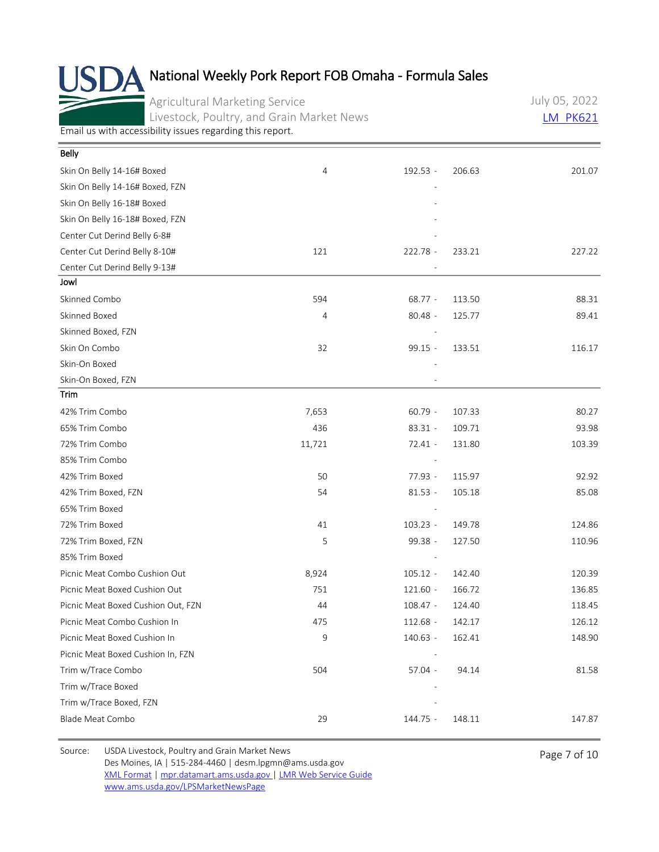Agricultural Marketing Service Livestock, Poultry, and Grain Market News July 05, 2022 [LM\\_PK621](https://mpr.datamart.ams.usda.gov/ws/report/v1/pork/LM_PK621?filter=%7B%22filters%22:%5B%7B%22fieldName%22:%22Report%20date%22,%22operatorType%22:%22EQUAL%22,%22values%22:%5B%227/5/2022%22%5D%7D%5D%7D)

[Email us with accessibility issues regarding this report.](mailto:mpr.lpgmn@ams.usda.gov?subject=508%20Issue)

| Belly                              |        |            |        |        |
|------------------------------------|--------|------------|--------|--------|
| Skin On Belly 14-16# Boxed         | 4      | 192.53 -   | 206.63 | 201.07 |
| Skin On Belly 14-16# Boxed, FZN    |        |            |        |        |
| Skin On Belly 16-18# Boxed         |        |            |        |        |
| Skin On Belly 16-18# Boxed, FZN    |        |            |        |        |
| Center Cut Derind Belly 6-8#       |        |            |        |        |
| Center Cut Derind Belly 8-10#      | 121    | 222.78 -   | 233.21 | 227.22 |
| Center Cut Derind Belly 9-13#      |        |            |        |        |
| Jowl                               |        |            |        |        |
| Skinned Combo                      | 594    | $68.77 -$  | 113.50 | 88.31  |
| Skinned Boxed                      | 4      | $80.48 -$  | 125.77 | 89.41  |
| Skinned Boxed, FZN                 |        |            |        |        |
| Skin On Combo                      | 32     | 99.15 -    | 133.51 | 116.17 |
| Skin-On Boxed                      |        |            |        |        |
| Skin-On Boxed, FZN                 |        |            |        |        |
| Trim                               |        |            |        |        |
| 42% Trim Combo                     | 7,653  | $60.79 -$  | 107.33 | 80.27  |
| 65% Trim Combo                     | 436    | $83.31 -$  | 109.71 | 93.98  |
| 72% Trim Combo                     | 11,721 | $72.41 -$  | 131.80 | 103.39 |
| 85% Trim Combo                     |        |            |        |        |
| 42% Trim Boxed                     | 50     | 77.93 -    | 115.97 | 92.92  |
| 42% Trim Boxed, FZN                | 54     | $81.53 -$  | 105.18 | 85.08  |
| 65% Trim Boxed                     |        |            |        |        |
| 72% Trim Boxed                     | 41     | $103.23 -$ | 149.78 | 124.86 |
| 72% Trim Boxed, FZN                | 5      | 99.38 -    | 127.50 | 110.96 |
| 85% Trim Boxed                     |        |            |        |        |
| Picnic Meat Combo Cushion Out      | 8,924  | $105.12 -$ | 142.40 | 120.39 |
| Picnic Meat Boxed Cushion Out      | 751    | $121.60 -$ | 166.72 | 136.85 |
| Picnic Meat Boxed Cushion Out, FZN | 44     | $108.47 -$ | 124.40 | 118.45 |
| Picnic Meat Combo Cushion In       | 475    | 112.68 -   | 142.17 | 126.12 |
| Picnic Meat Boxed Cushion In       | 9      | 140.63 -   | 162.41 | 148.90 |
| Picnic Meat Boxed Cushion In, FZN  |        |            |        |        |
| Trim w/Trace Combo                 | 504    | 57.04 -    | 94.14  | 81.58  |
| Trim w/Trace Boxed                 |        |            |        |        |
| Trim w/Trace Boxed, FZN            |        |            |        |        |
| Blade Meat Combo                   | 29     | 144.75 -   | 148.11 | 147.87 |

Source: USDA Livestock, Poultry and Grain Market News<br>
Page 7 of 10 Des Moines, IA | 515-284-4460 | desm.lpgmn@ams.usda.gov [XML Format](https://mpr.datamart.ams.usda.gov/ws/report/v1/pork/LM_PK621?filter=%7B%22filters%22:%5B%7B%22fieldName%22:%22Report%20date%22,%22operatorType%22:%22EQUAL%22,%22values%22:%5B%227/5/2022%22%5D%7D%5D%7D) | [mpr.datamart.ams.usda.gov](https://mpr.datamart.ams.usda.gov/) | [LMR Web Service Guide](https://www.marketnews.usda.gov/mnp/assets/ls/USDA-LMR-WebService-Client-User-Guide-v1_prod.pdf) [www.ams.usda.gov/LPSMarketNewsPage](https://www.ams.usda.gov/LPSMarketNewsPage)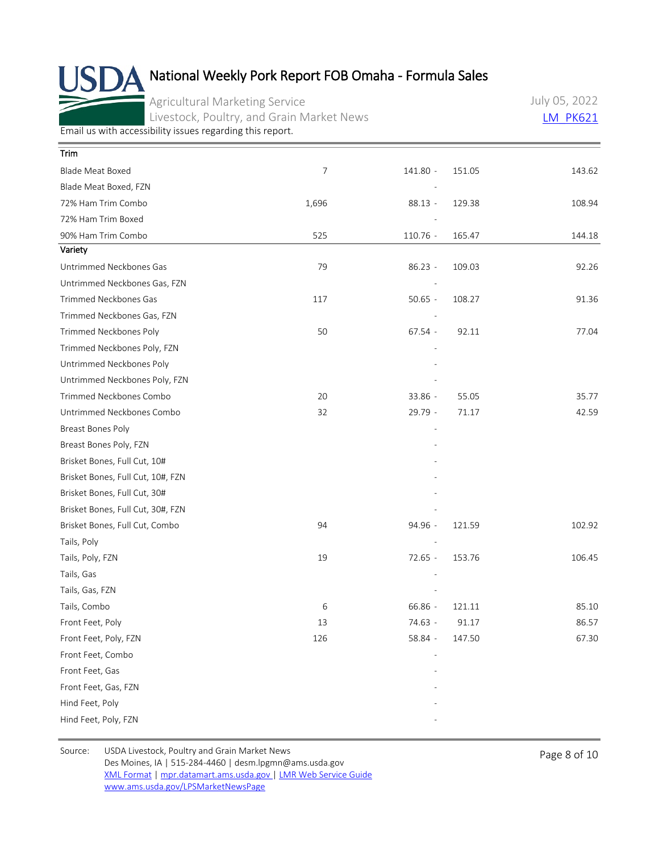Agricultural Marketing Service Livestock, Poultry, and Grain Market News July 05, 2022 [LM\\_PK621](https://mpr.datamart.ams.usda.gov/ws/report/v1/pork/LM_PK621?filter=%7B%22filters%22:%5B%7B%22fieldName%22:%22Report%20date%22,%22operatorType%22:%22EQUAL%22,%22values%22:%5B%227/5/2022%22%5D%7D%5D%7D)

[Email us with accessibility issues regarding this report.](mailto:mpr.lpgmn@ams.usda.gov?subject=508%20Issue)

| Trim                              |                |            |        |        |
|-----------------------------------|----------------|------------|--------|--------|
| Blade Meat Boxed                  | $\overline{7}$ | 141.80 -   | 151.05 | 143.62 |
| Blade Meat Boxed, FZN             |                |            |        |        |
| 72% Ham Trim Combo                | 1,696          | $88.13 -$  | 129.38 | 108.94 |
| 72% Ham Trim Boxed                |                |            |        |        |
| 90% Ham Trim Combo                | 525            | $110.76 -$ | 165.47 | 144.18 |
| Variety                           |                |            |        |        |
| Untrimmed Neckbones Gas           | 79             | $86.23 -$  | 109.03 | 92.26  |
| Untrimmed Neckbones Gas, FZN      |                |            |        |        |
| Trimmed Neckbones Gas             | 117            | $50.65 -$  | 108.27 | 91.36  |
| Trimmed Neckbones Gas, FZN        |                |            |        |        |
| Trimmed Neckbones Poly            | 50             | $67.54 -$  | 92.11  | 77.04  |
| Trimmed Neckbones Poly, FZN       |                |            |        |        |
| Untrimmed Neckbones Poly          |                |            |        |        |
| Untrimmed Neckbones Poly, FZN     |                |            |        |        |
| Trimmed Neckbones Combo           | 20             | 33.86 -    | 55.05  | 35.77  |
| Untrimmed Neckbones Combo         | 32             | 29.79 -    | 71.17  | 42.59  |
| Breast Bones Poly                 |                |            |        |        |
| Breast Bones Poly, FZN            |                |            |        |        |
| Brisket Bones, Full Cut, 10#      |                |            |        |        |
| Brisket Bones, Full Cut, 10#, FZN |                |            |        |        |
| Brisket Bones, Full Cut, 30#      |                |            |        |        |
| Brisket Bones, Full Cut, 30#, FZN |                |            |        |        |
| Brisket Bones, Full Cut, Combo    | 94             | 94.96 -    | 121.59 | 102.92 |
| Tails, Poly                       |                |            |        |        |
| Tails, Poly, FZN                  | 19             | 72.65 -    | 153.76 | 106.45 |
| Tails, Gas                        |                |            |        |        |
| Tails, Gas, FZN                   |                |            |        |        |
| Tails, Combo                      | 6              | 66.86 -    | 121.11 | 85.10  |
| Front Feet, Poly                  | 13             | 74.63 -    | 91.17  | 86.57  |
| Front Feet, Poly, FZN             | 126            | 58.84 -    | 147.50 | 67.30  |
| Front Feet, Combo                 |                |            |        |        |
| Front Feet, Gas                   |                |            |        |        |
| Front Feet, Gas, FZN              |                |            |        |        |
| Hind Feet, Poly                   |                |            |        |        |
| Hind Feet, Poly, FZN              |                |            |        |        |

Source: USDA Livestock, Poultry and Grain Market News<br>
Page 8 of 10 Des Moines, IA | 515-284-4460 | desm.lpgmn@ams.usda.gov [XML Format](https://mpr.datamart.ams.usda.gov/ws/report/v1/pork/LM_PK621?filter=%7B%22filters%22:%5B%7B%22fieldName%22:%22Report%20date%22,%22operatorType%22:%22EQUAL%22,%22values%22:%5B%227/5/2022%22%5D%7D%5D%7D) | [mpr.datamart.ams.usda.gov](https://mpr.datamart.ams.usda.gov/) | [LMR Web Service Guide](https://www.marketnews.usda.gov/mnp/assets/ls/USDA-LMR-WebService-Client-User-Guide-v1_prod.pdf) [www.ams.usda.gov/LPSMarketNewsPage](https://www.ams.usda.gov/LPSMarketNewsPage)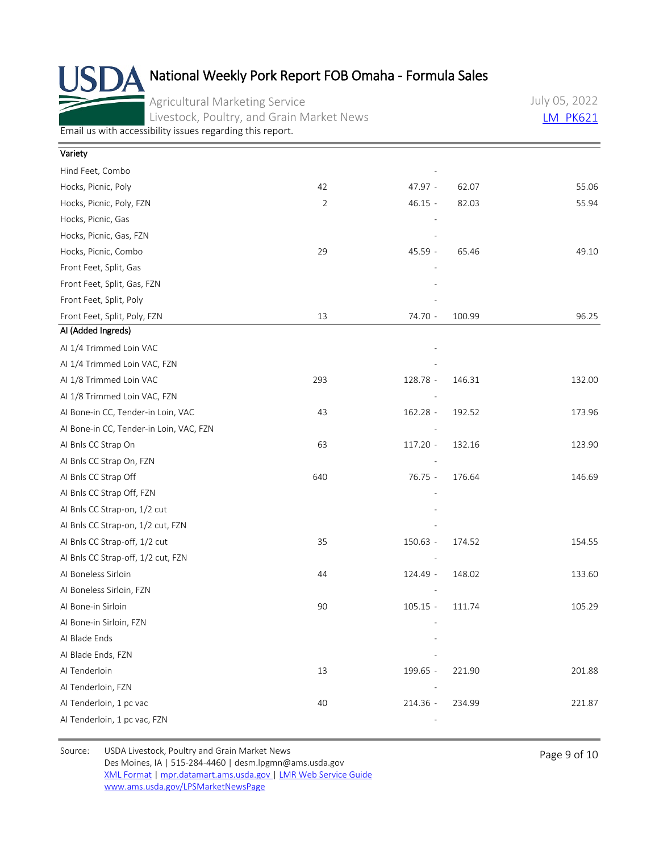Agricultural Marketing Service Livestock, Poultry, and Grain Market News July 05, 2022 **LM PK621** 

[Email us with accessibility issues regarding this report.](mailto:mpr.lpgmn@ams.usda.gov?subject=508%20Issue)

| Variety                                 |                |            |        |        |
|-----------------------------------------|----------------|------------|--------|--------|
| Hind Feet, Combo                        |                |            |        |        |
| Hocks, Picnic, Poly                     | 42             | 47.97 -    | 62.07  | 55.06  |
| Hocks, Picnic, Poly, FZN                | $\overline{2}$ | $46.15 -$  | 82.03  | 55.94  |
| Hocks, Picnic, Gas                      |                |            |        |        |
| Hocks, Picnic, Gas, FZN                 |                |            |        |        |
| Hocks, Picnic, Combo                    | 29             | 45.59 -    | 65.46  | 49.10  |
| Front Feet, Split, Gas                  |                |            |        |        |
| Front Feet, Split, Gas, FZN             |                |            |        |        |
| Front Feet, Split, Poly                 |                |            |        |        |
| Front Feet, Split, Poly, FZN            | 13             | 74.70 -    | 100.99 | 96.25  |
| Al (Added Ingreds)                      |                |            |        |        |
| Al 1/4 Trimmed Loin VAC                 |                |            |        |        |
| AI 1/4 Trimmed Loin VAC, FZN            |                |            |        |        |
| AI 1/8 Trimmed Loin VAC                 | 293            | 128.78 -   | 146.31 | 132.00 |
| AI 1/8 Trimmed Loin VAC, FZN            |                |            |        |        |
| Al Bone-in CC, Tender-in Loin, VAC      | 43             | 162.28 -   | 192.52 | 173.96 |
| Al Bone-in CC, Tender-in Loin, VAC, FZN |                |            |        |        |
| AI Bnls CC Strap On                     | 63             | 117.20 -   | 132.16 | 123.90 |
| AI Bnls CC Strap On, FZN                |                |            |        |        |
| AI Bnls CC Strap Off                    | 640            | 76.75 -    | 176.64 | 146.69 |
| AI Bnls CC Strap Off, FZN               |                |            |        |        |
| AI Bnls CC Strap-on, 1/2 cut            |                |            |        |        |
| AI Bnls CC Strap-on, 1/2 cut, FZN       |                |            |        |        |
| AI Bnls CC Strap-off, 1/2 cut           | 35             | $150.63 -$ | 174.52 | 154.55 |
| AI Bnls CC Strap-off, 1/2 cut, FZN      |                |            |        |        |
| Al Boneless Sirloin                     | 44             | 124.49 -   | 148.02 | 133.60 |
| AI Boneless Sirloin, FZN                |                |            |        |        |
| Al Bone-in Sirloin                      | 90             | $105.15 -$ | 111.74 | 105.29 |
| Al Bone-in Sirloin, FZN                 |                |            |        |        |
| Al Blade Ends                           |                |            |        |        |
| AI Blade Ends, FZN                      |                |            |        |        |
| Al Tenderloin                           | 13             | 199.65 -   | 221.90 | 201.88 |
| AI Tenderloin, FZN                      |                |            |        |        |
| Al Tenderloin, 1 pc vac                 | 40             | 214.36 -   | 234.99 | 221.87 |
| Al Tenderloin, 1 pc vac, FZN            |                |            |        |        |
|                                         |                |            |        |        |

Source: USDA Livestock, Poultry and Grain Market News<br>
Page 9 of 10 Des Moines, IA | 515-284-4460 | desm.lpgmn@ams.usda.gov [XML Format](https://mpr.datamart.ams.usda.gov/ws/report/v1/pork/LM_PK621?filter=%7B%22filters%22:%5B%7B%22fieldName%22:%22Report%20date%22,%22operatorType%22:%22EQUAL%22,%22values%22:%5B%227/5/2022%22%5D%7D%5D%7D) | [mpr.datamart.ams.usda.gov](https://mpr.datamart.ams.usda.gov/) | [LMR Web Service Guide](https://www.marketnews.usda.gov/mnp/assets/ls/USDA-LMR-WebService-Client-User-Guide-v1_prod.pdf) [www.ams.usda.gov/LPSMarketNewsPage](https://www.ams.usda.gov/LPSMarketNewsPage)